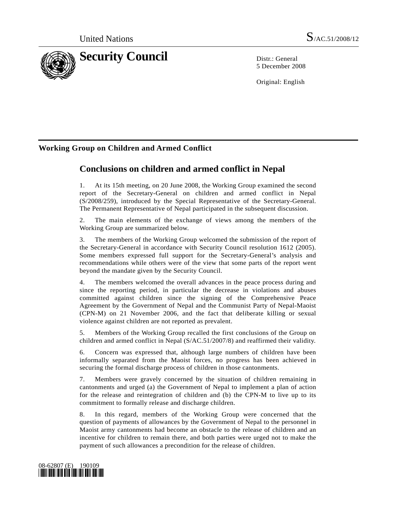

5 December 2008

Original: English

## **Working Group on Children and Armed Conflict**

# **Conclusions on children and armed conflict in Nepal**

1. At its 15th meeting, on 20 June 2008, the Working Group examined the second report of the Secretary-General on children and armed conflict in Nepal (S/2008/259), introduced by the Special Representative of the Secretary-General. The Permanent Representative of Nepal participated in the subsequent discussion.

2. The main elements of the exchange of views among the members of the Working Group are summarized below.

3. The members of the Working Group welcomed the submission of the report of the Secretary-General in accordance with Security Council resolution 1612 (2005). Some members expressed full support for the Secretary-General's analysis and recommendations while others were of the view that some parts of the report went beyond the mandate given by the Security Council.

4. The members welcomed the overall advances in the peace process during and since the reporting period, in particular the decrease in violations and abuses committed against children since the signing of the Comprehensive Peace Agreement by the Government of Nepal and the Communist Party of Nepal-Maoist (CPN-M) on 21 November 2006, and the fact that deliberate killing or sexual violence against children are not reported as prevalent.

5. Members of the Working Group recalled the first conclusions of the Group on children and armed conflict in Nepal (S/AC.51/2007/8) and reaffirmed their validity.

6. Concern was expressed that, although large numbers of children have been informally separated from the Maoist forces, no progress has been achieved in securing the formal discharge process of children in those cantonments.

7. Members were gravely concerned by the situation of children remaining in cantonments and urged (a) the Government of Nepal to implement a plan of action for the release and reintegration of children and (b) the CPN-M to live up to its commitment to formally release and discharge children.

8. In this regard, members of the Working Group were concerned that the question of payments of allowances by the Government of Nepal to the personnel in Maoist army cantonments had become an obstacle to the release of children and an incentive for children to remain there, and both parties were urged not to make the payment of such allowances a precondition for the release of children.

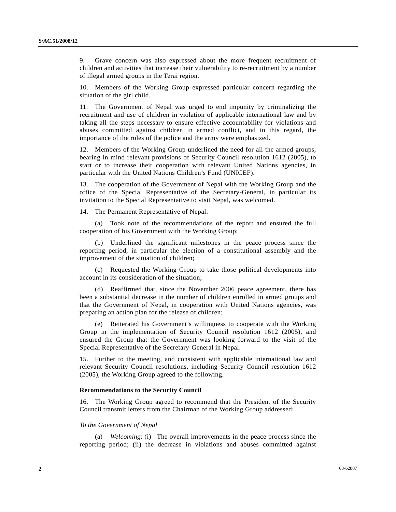9. Grave concern was also expressed about the more frequent recruitment of children and activities that increase their vulnerability to re-recruitment by a number of illegal armed groups in the Terai region.

10. Members of the Working Group expressed particular concern regarding the situation of the girl child.

11. The Government of Nepal was urged to end impunity by criminalizing the recruitment and use of children in violation of applicable international law and by taking all the steps necessary to ensure effective accountability for violations and abuses committed against children in armed conflict, and in this regard, the importance of the roles of the police and the army were emphasized.

12. Members of the Working Group underlined the need for all the armed groups, bearing in mind relevant provisions of Security Council resolution 1612 (2005), to start or to increase their cooperation with relevant United Nations agencies, in particular with the United Nations Children's Fund (UNICEF).

13. The cooperation of the Government of Nepal with the Working Group and the office of the Special Representative of the Secretary-General, in particular its invitation to the Special Representative to visit Nepal, was welcomed.

14. The Permanent Representative of Nepal:

 (a) Took note of the recommendations of the report and ensured the full cooperation of his Government with the Working Group;

 (b) Underlined the significant milestones in the peace process since the reporting period, in particular the election of a constitutional assembly and the improvement of the situation of children;

 (c) Requested the Working Group to take those political developments into account in its consideration of the situation;

 (d) Reaffirmed that, since the November 2006 peace agreement, there has been a substantial decrease in the number of children enrolled in armed groups and that the Government of Nepal, in cooperation with United Nations agencies, was preparing an action plan for the release of children;

 (e) Reiterated his Government's willingness to cooperate with the Working Group in the implementation of Security Council resolution 1612 (2005), and ensured the Group that the Government was looking forward to the visit of the Special Representative of the Secretary-General in Nepal.

15. Further to the meeting, and consistent with applicable international law and relevant Security Council resolutions, including Security Council resolution 1612 (2005), the Working Group agreed to the following.

#### **Recommendations to the Security Council**

16. The Working Group agreed to recommend that the President of the Security Council transmit letters from the Chairman of the Working Group addressed:

#### *To the Government of Nepal*

 (a) *Welcoming*: (i) The overall improvements in the peace process since the reporting period; (ii) the decrease in violations and abuses committed against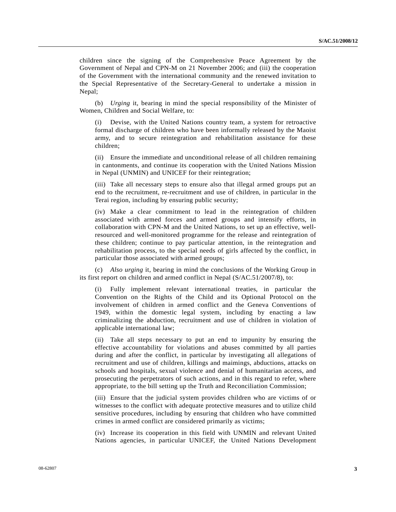children since the signing of the Comprehensive Peace Agreement by the Government of Nepal and CPN-M on 21 November 2006; and (iii) the cooperation of the Government with the international community and the renewed invitation to the Special Representative of the Secretary-General to undertake a mission in Nepal;

 (b) *Urging* it, bearing in mind the special responsibility of the Minister of Women, Children and Social Welfare, to:

Devise, with the United Nations country team, a system for retroactive formal discharge of children who have been informally released by the Maoist army, and to secure reintegration and rehabilitation assistance for these children;

 (ii) Ensure the immediate and unconditional release of all children remaining in cantonments, and continue its cooperation with the United Nations Mission in Nepal (UNMIN) and UNICEF for their reintegration;

 (iii) Take all necessary steps to ensure also that illegal armed groups put an end to the recruitment, re-recruitment and use of children, in particular in the Terai region, including by ensuring public security;

 (iv) Make a clear commitment to lead in the reintegration of children associated with armed forces and armed groups and intensify efforts, in collaboration with CPN-M and the United Nations, to set up an effective, wellresourced and well-monitored programme for the release and reintegration of these children; continue to pay particular attention, in the reintegration and rehabilitation process, to the special needs of girls affected by the conflict, in particular those associated with armed groups;

 (c) *Also urging* it, bearing in mind the conclusions of the Working Group in its first report on children and armed conflict in Nepal (S/AC.51/2007/8), to:

 (i) Fully implement relevant international treaties, in particular the Convention on the Rights of the Child and its Optional Protocol on the involvement of children in armed conflict and the Geneva Conventions of 1949, within the domestic legal system, including by enacting a law criminalizing the abduction, recruitment and use of children in violation of applicable international law;

 (ii) Take all steps necessary to put an end to impunity by ensuring the effective accountability for violations and abuses committed by all parties during and after the conflict, in particular by investigating all allegations of recruitment and use of children, killings and maimings, abductions, attacks on schools and hospitals, sexual violence and denial of humanitarian access, and prosecuting the perpetrators of such actions, and in this regard to refer, where appropriate, to the bill setting up the Truth and Reconciliation Commission;

 (iii) Ensure that the judicial system provides children who are victims of or witnesses to the conflict with adequate protective measures and to utilize child sensitive procedures, including by ensuring that children who have committed crimes in armed conflict are considered primarily as victims;

 (iv) Increase its cooperation in this field with UNMIN and relevant United Nations agencies, in particular UNICEF, the United Nations Development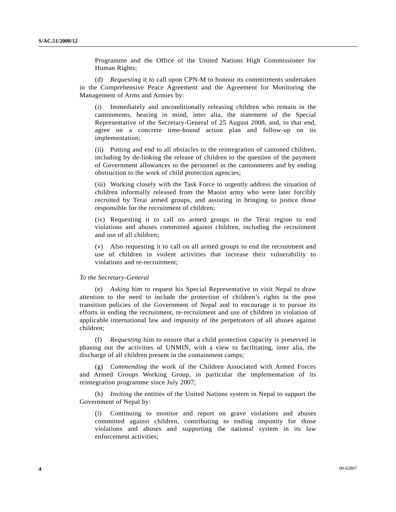Programme and the Office of the United Nations High Commissioner for Human Rights;

 (d) *Requesting* it to call upon CPN-M to honour its commitments undertaken in the Comprehensive Peace Agreement and the Agreement for Monitoring the Management of Arms and Armies by:

 (i) Immediately and unconditionally releasing children who remain in the cantonments, bearing in mind, inter alia, the statement of the Special Representative of the Secretary-General of 25 August 2008, and, to that end, agree on a concrete time-bound action plan and follow-up on its implementation;

 (ii) Putting and end to all obstacles to the reintegration of cantoned children, including by de-linking the release of children to the question of the payment of Government allowances to the personnel in the cantonments and by ending obstruction to the work of child protection agencies;

 (iii) Working closely with the Task Force to urgently address the situation of children informally released from the Maoist army who were later forcibly recruited by Terai armed groups, and assisting in bringing to justice those responsible for the recruitment of children;

 (iv) Requesting it to call on armed groups in the Terai region to end violations and abuses committed against children, including the recruitment and use of all children;

 (v) Also requesting it to call on all armed groups to end the recruitment and use of children in violent activities that increase their vulnerability to violations and re-recruitment;

#### *To the Secretary-General*

 (e) *Asking* him to request his Special Representative to visit Nepal to draw attention to the need to include the protection of children's rights in the post transition policies of the Government of Nepal and to encourage it to pursue its efforts in ending the recruitment, re-recruitment and use of children in violation of applicable international law and impunity of the perpetrators of all abuses against children;

 (f) *Requesting* him to ensure that a child protection capacity is preserved in phasing out the activities of UNMIN, with a view to facilitating, inter alia, the discharge of all children present in the containment camps;

 (g) *Commending* the work of the Children Associated with Armed Forces and Armed Groups Working Group, in particular the implementation of its reintegration programme since July 2007;

 (h) *Inviting* the entities of the United Nations system in Nepal to support the Government of Nepal by:

 (i) Continuing to monitor and report on grave violations and abuses committed against children, contributing to ending impunity for those violations and abuses and supporting the national system in its law enforcement activities;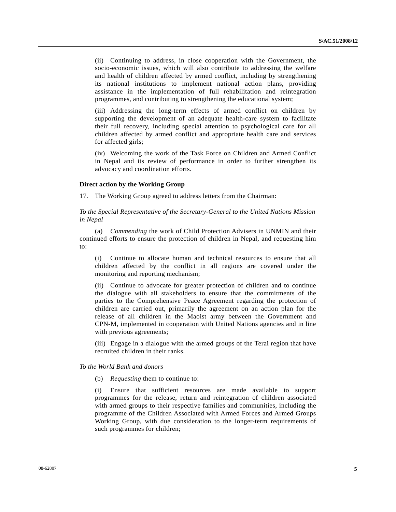(ii) Continuing to address, in close cooperation with the Government, the socio-economic issues, which will also contribute to addressing the welfare and health of children affected by armed conflict, including by strengthening its national institutions to implement national action plans, providing assistance in the implementation of full rehabilitation and reintegration programmes, and contributing to strengthening the educational system;

 (iii) Addressing the long-term effects of armed conflict on children by supporting the development of an adequate health-care system to facilitate their full recovery, including special attention to psychological care for all children affected by armed conflict and appropriate health care and services for affected girls;

 (iv) Welcoming the work of the Task Force on Children and Armed Conflict in Nepal and its review of performance in order to further strengthen its advocacy and coordination efforts.

### **Direct action by the Working Group**

17. The Working Group agreed to address letters from the Chairman:

 *To the Special Representative of the Secretary-General to the United Nations Mission in Nepal* 

 (a) *Commending* the work of Child Protection Advisers in UNMIN and their continued efforts to ensure the protection of children in Nepal, and requesting him to:

 (i) Continue to allocate human and technical resources to ensure that all children affected by the conflict in all regions are covered under the monitoring and reporting mechanism;

 (ii) Continue to advocate for greater protection of children and to continue the dialogue with all stakeholders to ensure that the commitments of the parties to the Comprehensive Peace Agreement regarding the protection of children are carried out, primarily the agreement on an action plan for the release of all children in the Maoist army between the Government and CPN-M, implemented in cooperation with United Nations agencies and in line with previous agreements;

 (iii) Engage in a dialogue with the armed groups of the Terai region that have recruited children in their ranks.

#### *To the World Bank and donors*

(b) *Requesting* them to continue to:

 (i) Ensure that sufficient resources are made available to support programmes for the release, return and reintegration of children associated with armed groups to their respective families and communities, including the programme of the Children Associated with Armed Forces and Armed Groups Working Group, with due consideration to the longer-term requirements of such programmes for children;